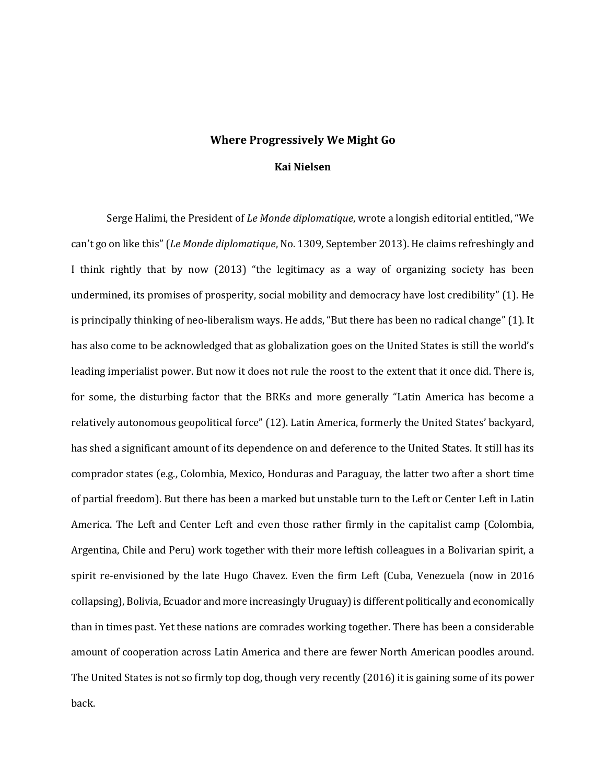## **Where Progressively We Might Go**

## **Kai Nielsen**

Serge Halimi, the President of *Le Monde diplomatique*, wrote a longish editorial entitled, "We can't go on like this" (*Le Monde diplomatique*, No. 1309, September 2013). He claims refreshingly and I think rightly that by now (2013) "the legitimacy as a way of organizing society has been undermined, its promises of prosperity, social mobility and democracy have lost credibility" (1). He is principally thinking of neo-liberalism ways. He adds, "But there has been no radical change" (1). It has also come to be acknowledged that as globalization goes on the United States is still the world's leading imperialist power. But now it does not rule the roost to the extent that it once did. There is, for some, the disturbing factor that the BRKs and more generally "Latin America has become a relatively autonomous geopolitical force" (12). Latin America, formerly the United States' backyard, has shed a significant amount of its dependence on and deference to the United States. It still has its comprador states (e.g., Colombia, Mexico, Honduras and Paraguay, the latter two after a short time of partial freedom). But there has been a marked but unstable turn to the Left or Center Left in Latin America. The Left and Center Left and even those rather firmly in the capitalist camp (Colombia, Argentina, Chile and Peru) work together with their more leftish colleagues in a Bolivarian spirit, a spirit re-envisioned by the late Hugo Chavez. Even the firm Left (Cuba, Venezuela (now in 2016 collapsing), Bolivia, Ecuador and more increasingly Uruguay) is different politically and economically than in times past. Yet these nations are comrades working together. There has been a considerable amount of cooperation across Latin America and there are fewer North American poodles around. The United States is not so firmly top dog, though very recently (2016) it is gaining some of its power back.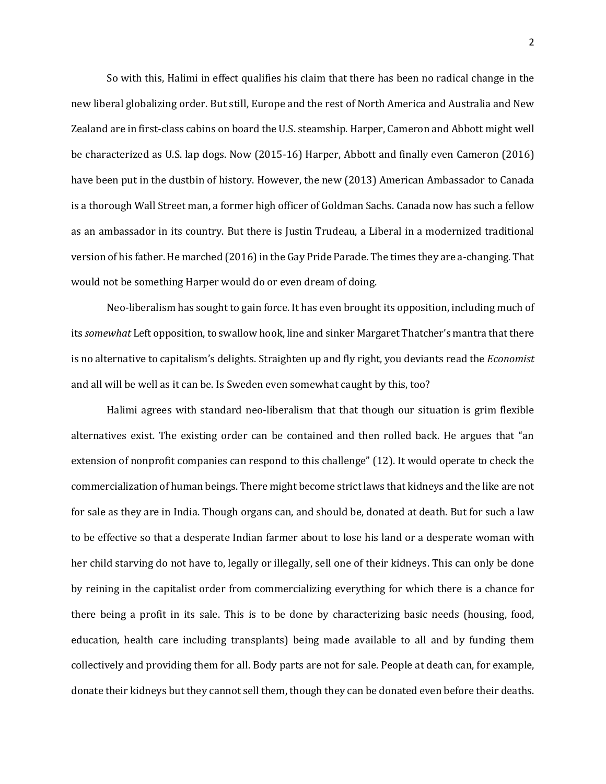So with this, Halimi in effect qualifies his claim that there has been no radical change in the new liberal globalizing order. But still, Europe and the rest of North America and Australia and New Zealand are in first-class cabins on board the U.S. steamship. Harper, Cameron and Abbott might well be characterized as U.S. lap dogs. Now (2015-16) Harper, Abbott and finally even Cameron (2016) have been put in the dustbin of history. However, the new (2013) American Ambassador to Canada is a thorough Wall Street man, a former high officer of Goldman Sachs. Canada now has such a fellow as an ambassador in its country. But there is Justin Trudeau, a Liberal in a modernized traditional version of his father. He marched (2016) in the Gay Pride Parade. The times they are a-changing. That would not be something Harper would do or even dream of doing.

Neo-liberalism has sought to gain force. It has even brought its opposition, including much of its *somewhat* Left opposition, to swallow hook, line and sinker Margaret Thatcher's mantra that there is no alternative to capitalism's delights. Straighten up and fly right, you deviants read the *Economist* and all will be well as it can be. Is Sweden even somewhat caught by this, too?

Halimi agrees with standard neo-liberalism that that though our situation is grim flexible alternatives exist. The existing order can be contained and then rolled back. He argues that "an extension of nonprofit companies can respond to this challenge" (12). It would operate to check the commercialization of human beings. There might become strict laws that kidneys and the like are not for sale as they are in India. Though organs can, and should be, donated at death. But for such a law to be effective so that a desperate Indian farmer about to lose his land or a desperate woman with her child starving do not have to, legally or illegally, sell one of their kidneys. This can only be done by reining in the capitalist order from commercializing everything for which there is a chance for there being a profit in its sale. This is to be done by characterizing basic needs (housing, food, education, health care including transplants) being made available to all and by funding them collectively and providing them for all. Body parts are not for sale. People at death can, for example, donate their kidneys but they cannot sell them, though they can be donated even before their deaths.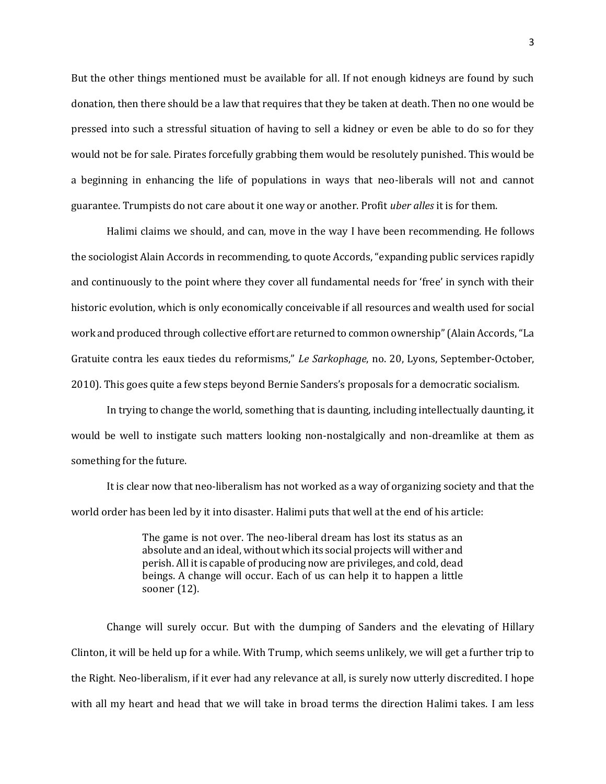But the other things mentioned must be available for all. If not enough kidneys are found by such donation, then there should be a law that requires that they be taken at death. Then no one would be pressed into such a stressful situation of having to sell a kidney or even be able to do so for they would not be for sale. Pirates forcefully grabbing them would be resolutely punished. This would be a beginning in enhancing the life of populations in ways that neo-liberals will not and cannot guarantee. Trumpists do not care about it one way or another. Profit *uber alles* it is for them.

Halimi claims we should, and can, move in the way I have been recommending. He follows the sociologist Alain Accords in recommending, to quote Accords, "expanding public services rapidly and continuously to the point where they cover all fundamental needs for 'free' in synch with their historic evolution, which is only economically conceivable if all resources and wealth used for social work and produced through collective effort are returned to common ownership" (Alain Accords, "La Gratuite contra les eaux tiedes du reformisms," *Le Sarkophage*, no. 20, Lyons, September-October, 2010). This goes quite a few steps beyond Bernie Sanders's proposals for a democratic socialism.

In trying to change the world, something that is daunting, including intellectually daunting, it would be well to instigate such matters looking non-nostalgically and non-dreamlike at them as something for the future.

It is clear now that neo-liberalism has not worked as a way of organizing society and that the world order has been led by it into disaster. Halimi puts that well at the end of his article:

> The game is not over. The neo-liberal dream has lost its status as an absolute and an ideal, without which its social projects will wither and perish. All it is capable of producing now are privileges, and cold, dead beings. A change will occur. Each of us can help it to happen a little sooner (12).

Change will surely occur. But with the dumping of Sanders and the elevating of Hillary Clinton, it will be held up for a while. With Trump, which seems unlikely, we will get a further trip to the Right. Neo-liberalism, if it ever had any relevance at all, is surely now utterly discredited. I hope with all my heart and head that we will take in broad terms the direction Halimi takes. I am less